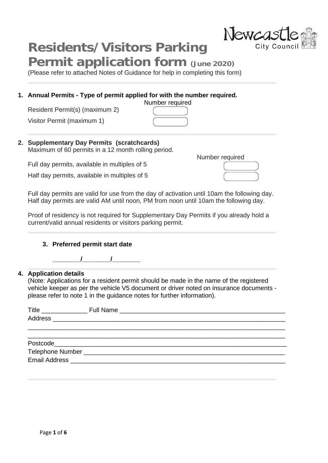# **Residents/Visitors Parking**

### **Permit application form (June 2020)**

(Please refer to attached Notes of Guidance for help in completing this form)

#### **1. Annual Permits - Type of permit applied for with the number required.**

Resident Permit(s) (maximum 2)

Visitor Permit (maximum 1)

#### **2. Supplementary Day Permits (scratchcards)**  Maximum of 60 permits in a 12 month rolling period.

Full day permits, available in multiples of 5

Half day permits, available in multiples of 5

Full day permits are valid for use from the day of activation until 10am the following day. Half day permits are valid AM until noon, PM from noon until 10am the following day.

Number required

Proof of residency is not required for Supplementary Day Permits if you already hold a current/valid annual residents or visitors parking permit.

#### **3. Preferred permit start date**

#### **4. Application details**

(Note: Applications for a resident permit should be made in the name of the registered vehicle keeper as per the vehicle V5 document or driver noted on insurance documents please refer to note 1 in the guidance notes for further information).



Number required

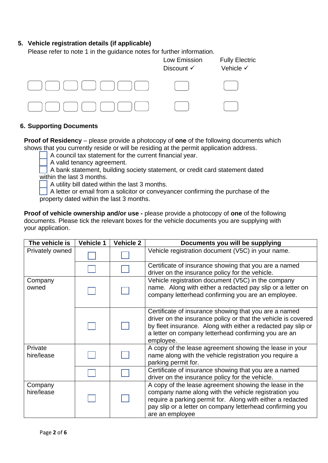#### **5. Vehicle registration details (if applicable)**

Please refer to note 1 in the guidance notes for further information.



#### **6. Supporting Documents**

**Proof of Residency** – please provide a photocopy of **one** of the following documents which shows that you currently reside or will be residing at the permit application address.

A council tax statement for the current financial year.

A valid tenancy agreement.

 A bank statement, building society statement, or credit card statement dated within the last 3 months.

A utility bill dated within the last 3 months.

 A letter or email from a solicitor or conveyancer confirming the purchase of the property dated within the last 3 months.

**Proof of vehicle ownership and/or use -** please provide a photocopy of **one** of the following documents. Please tick the relevant boxes for the vehicle documents you are supplying with your application.

| The vehicle is        | <b>Vehicle 1</b> | <b>Vehicle 2</b> | Documents you will be supplying                                                                                                                                                                                                                              |
|-----------------------|------------------|------------------|--------------------------------------------------------------------------------------------------------------------------------------------------------------------------------------------------------------------------------------------------------------|
| Privately owned       |                  |                  | Vehicle registration document (V5C) in your name.                                                                                                                                                                                                            |
|                       |                  |                  | Certificate of insurance showing that you are a named<br>driver on the insurance policy for the vehicle.                                                                                                                                                     |
| Company<br>owned      |                  |                  | Vehicle registration document (V5C) in the company<br>name. Along with either a redacted pay slip or a letter on<br>company letterhead confirming you are an employee.                                                                                       |
|                       |                  |                  | Certificate of insurance showing that you are a named<br>driver on the insurance policy or that the vehicle is covered<br>by fleet insurance. Along with either a redacted pay slip or<br>a letter on company letterhead confirming you are an<br>employee.  |
| Private<br>hire/lease |                  |                  | A copy of the lease agreement showing the lease in your<br>name along with the vehicle registration you require a<br>parking permit for.                                                                                                                     |
|                       |                  |                  | Certificate of insurance showing that you are a named<br>driver on the insurance policy for the vehicle.                                                                                                                                                     |
| Company<br>hire/lease |                  |                  | A copy of the lease agreement showing the lease in the<br>company name along with the vehicle registration you<br>require a parking permit for. Along with either a redacted<br>pay slip or a letter on company letterhead confirming you<br>are an employee |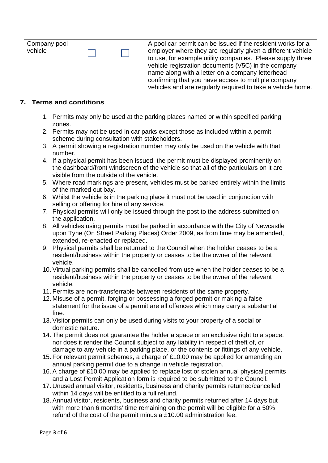| Company pool<br>vehicle |  | A pool car permit can be issued if the resident works for a<br>employer where they are regularly given a different vehicle<br>to use, for example utility companies. Please supply three<br>vehicle registration documents (V5C) in the company |
|-------------------------|--|-------------------------------------------------------------------------------------------------------------------------------------------------------------------------------------------------------------------------------------------------|
|                         |  | name along with a letter on a company letterhead                                                                                                                                                                                                |
|                         |  | confirming that you have access to multiple company                                                                                                                                                                                             |
|                         |  | vehicles and are regularly required to take a vehicle home.                                                                                                                                                                                     |

#### **7. Terms and conditions**

- 1. Permits may only be used at the parking places named or within specified parking zones.
- 2. Permits may not be used in car parks except those as included within a permit scheme during consultation with stakeholders.
- 3. A permit showing a registration number may only be used on the vehicle with that number.
- 4. If a physical permit has been issued, the permit must be displayed prominently on the dashboard/front windscreen of the vehicle so that all of the particulars on it are visible from the outside of the vehicle.
- 5. Where road markings are present, vehicles must be parked entirely within the limits of the marked out bay.
- 6. Whilst the vehicle is in the parking place it must not be used in conjunction with selling or offering for hire of any service.
- 7. Physical permits will only be issued through the post to the address submitted on the application.
- 8. All vehicles using permits must be parked in accordance with the City of Newcastle upon Tyne (On Street Parking Places) Order 2009, as from time may be amended, extended, re-enacted or replaced.
- 9. Physical permits shall be returned to the Council when the holder ceases to be a resident/business within the property or ceases to be the owner of the relevant vehicle.
- 10. Virtual parking permits shall be cancelled from use when the holder ceases to be a resident/business within the property or ceases to be the owner of the relevant vehicle.
- 11. Permits are non-transferrable between residents of the same property.
- 12. Misuse of a permit, forging or possessing a forged permit or making a false statement for the issue of a permit are all offences which may carry a substantial fine.
- 13. Visitor permits can only be used during visits to your property of a social or domestic nature.
- 14. The permit does not guarantee the holder a space or an exclusive right to a space, nor does it render the Council subject to any liability in respect of theft of, or damage to any vehicle in a parking place, or the contents or fittings of any vehicle.
- 15. For relevant permit schemes, a charge of £10.00 may be applied for amending an annual parking permit due to a change in vehicle registration.
- 16. A charge of £10.00 may be applied to replace lost or stolen annual physical permits and a Lost Permit Application form is required to be submitted to the Council.
- 17. Unused annual visitor, residents, business and charity permits returned/cancelled within 14 days will be entitled to a full refund.
- 18. Annual visitor, residents, business and charity permits returned after 14 days but with more than 6 months' time remaining on the permit will be eligible for a 50% refund of the cost of the permit minus a £10.00 administration fee.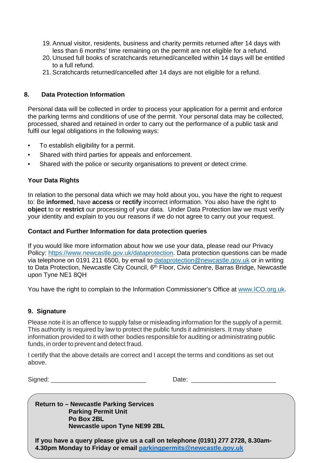- 19. Annual visitor, residents, business and charity permits returned after 14 days with less than 6 months' time remaining on the permit are not eligible for a refund.
- 20. Unused full books of scratchcards returned/cancelled within 14 days will be entitled to a full refund.
- 21. Scratchcards returned/cancelled after 14 days are not eligible for a refund.

#### **8. Data Protection Information**

Personal data will be collected in order to process your application for a permit and enforce the parking terms and conditions of use of the permit. Your personal data may be collected, processed, shared and retained in order to carry out the performance of a public task and fulfil our legal obligations in the following ways:

- To establish eligibility for a permit.
- Shared with third parties for appeals and enforcement.
- Shared with the police or security organisations to prevent or detect crime.

#### **Your Data Rights**

In relation to the personal data which we may hold about you, you have the right to request to: Be **informed**, have **access** or **rectify** incorrect information. You also have the right to **object** to or **restrict** our processing of your data. Under Data Protection law we must verify your identity and explain to you our reasons if we do not agree to carry out your request.

#### **Contact and Further Information for data protection queries**

If you would like more information about how we use your data, please read our Privacy Policy: [https://www.newcastle.gov.uk/dataprotection.](https://www.newcastle.gov.uk/dataprotection) Data protection questions can be made via telephone on 0191 211 6500, by email to [dataprotection@newcastle.gov.uk](mailto:dataprotection@newcastle.gov.uk) or in writing to Data Protection, Newcastle City Council, 6<sup>th</sup> Floor, Civic Centre, Barras Bridge, Newcastle upon Tyne NE1 8QH

You have the right to complain to the Information Commissioner's Office at [www.ICO.org.uk.](http://www.ico.org.uk/)

#### **9. Signature**

Please note it is an offence to supply false or misleading information for the supply of a permit. This authority is required by law to protect the public funds it administers. It may share information provided to it with other bodies responsible for auditing or administrating public funds, in order to prevent and detect fraud.

I certify that the above details are correct and I accept the terms and conditions as set out above.

Signed: \_\_\_\_\_\_\_\_\_\_\_\_\_\_\_\_\_\_\_\_\_\_\_\_\_\_\_ Date: \_\_\_\_\_\_\_\_\_\_\_\_\_\_\_\_\_\_\_\_\_\_\_\_

**Return to – Newcastle Parking Services Parking Permit Unit Po Box 2BL Newcastle upon Tyne NE99 2BL**

**If you have a query please give us a call on telephone (0191) 277 2728, 8.30am-4.30pm Monday to Friday or email [parkingpermits@newcastle.gov.uk](mailto:parkingpermits@newcastle.gov.uk)**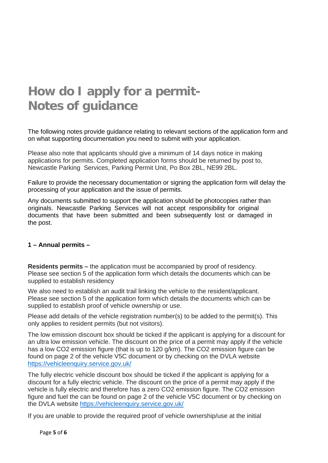## **How do I apply for a permit-Notes of guidance**

The following notes provide guidance relating to relevant sections of the application form and on what supporting documentation you need to submit with your application.

Please also note that applicants should give a minimum of 14 days notice in making applications for permits. Completed application forms should be returned by post to, Newcastle Parking Services, Parking Permit Unit, Po Box 2BL, NE99 2BL.

Failure to provide the necessary documentation or signing the application form will delay the processing of your application and the issue of permits.

Any documents submitted to support the application should be photocopies rather than originals. Newcastle Parking Services will not accept responsibility for original documents that have been submitted and been subsequently lost or damaged in the post.

#### **1 – Annual permits –**

**Residents permits –** the application must be accompanied by proof of residency. Please see section 5 of the application form which details the documents which can be supplied to establish residency

We also need to establish an audit trail linking the vehicle to the resident/applicant. Please see section 5 of the application form which details the documents which can be supplied to establish proof of vehicle ownership or use.

Please add details of the vehicle registration number(s) to be added to the permit(s). This only applies to resident permits (but not visitors).

The low emission discount box should be ticked if the applicant is applying for a discount for an ultra low emission vehicle. The discount on the price of a permit may apply if the vehicle has a low CO2 emission figure (that is up to 120 g/km). The CO2 emission figure can be found on page 2 of the vehicle V5C document or by checking on the DVLA website <https://vehicleenquiry.service.gov.uk/>

The fully electric vehicle discount box should be ticked if the applicant is applying for a discount for a fully electric vehicle. The discount on the price of a permit may apply if the vehicle is fully electric and therefore has a zero CO2 emission figure. The CO2 emission figure and fuel the can be found on page 2 of the vehicle V5C document or by checking on the DVLA website<https://vehicleenquiry.service.gov.uk/>

If you are unable to provide the required proof of vehicle ownership/use at the initial